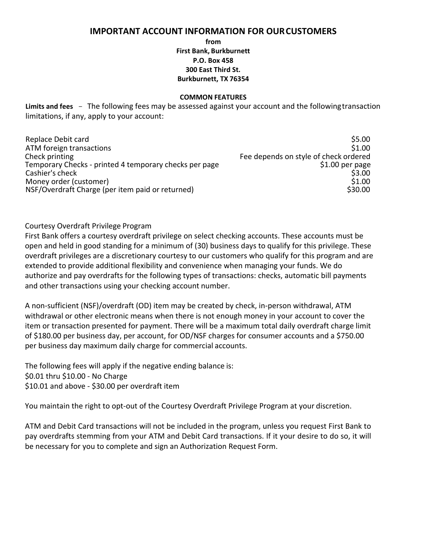## **IMPORTANT ACCOUNT INFORMATION FOR OURCUSTOMERS**

**from**

**First Bank, Burkburnett P.O. Box 458 300 East Third St. Burkburnett, TX 76354**

## **COMMON FEATURES**

**Limits and fees** - The following fees may be assessed against your account and the following transaction limitations, if any, apply to your account:

| Replace Debit card                                     | \$5.00                                |
|--------------------------------------------------------|---------------------------------------|
| ATM foreign transactions                               | \$1.00                                |
| Check printing                                         | Fee depends on style of check ordered |
| Temporary Checks - printed 4 temporary checks per page | $$1.00$ per page                      |
| Cashier's check                                        | \$3.00                                |
| Money order (customer)                                 | \$1.00                                |
| NSF/Overdraft Charge (per item paid or returned)       | \$30.00                               |

## Courtesy Overdraft Privilege Program

First Bank offers a courtesy overdraft privilege on select checking accounts. These accounts must be open and held in good standing for a minimum of (30) business days to qualify for this privilege. These overdraft privileges are a discretionary courtesy to our customers who qualify for this program and are extended to provide additional flexibility and convenience when managing your funds. We do authorize and pay overdrafts for the following types of transactions: checks, automatic bill payments and other transactions using your checking account number.

A non-sufficient (NSF)/overdraft (OD) item may be created by check, in-person withdrawal, ATM withdrawal or other electronic means when there is not enough money in your account to cover the item or transaction presented for payment. There will be a maximum total daily overdraft charge limit of \$180.00 per business day, per account, for OD/NSF charges for consumer accounts and a \$750.00 per business day maximum daily charge for commercial accounts.

The following fees will apply if the negative ending balance is: \$0.01 thru \$10.00 - No Charge \$10.01 and above - \$30.00 per overdraft item

You maintain the right to opt-out of the Courtesy Overdraft Privilege Program at your discretion.

ATM and Debit Card transactions will not be included in the program, unless you request First Bank to pay overdrafts stemming from your ATM and Debit Card transactions. If it your desire to do so, it will be necessary for you to complete and sign an Authorization Request Form.